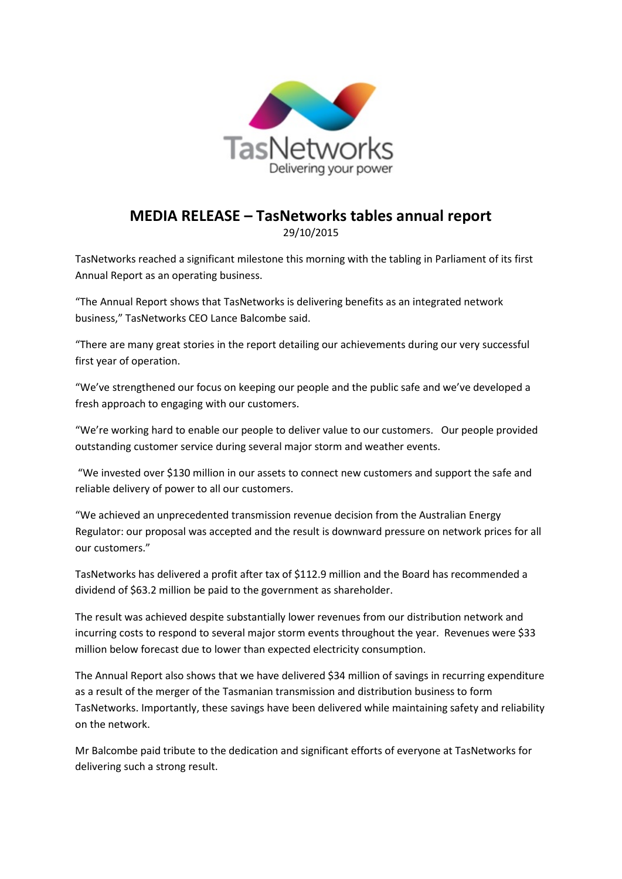

## **MEDIA RELEASE – TasNetworks tables annual report**

29/10/2015

TasNetworks reached a significant milestone this morning with the tabling in Parliament of its first Annual Report as an operating business.

"The Annual Report shows that TasNetworks is delivering benefits as an integrated network business," TasNetworks CEO Lance Balcombe said.

"There are many great stories in the report detailing our achievements during our very successful first year of operation.

"We've strengthened our focus on keeping our people and the public safe and we've developed a fresh approach to engaging with our customers.

"We're working hard to enable our people to deliver value to our customers. Our people provided outstanding customer service during several major storm and weather events.

"We invested over \$130 million in our assets to connect new customers and support the safe and reliable delivery of power to all our customers.

"We achieved an unprecedented transmission revenue decision from the Australian Energy Regulator: our proposal was accepted and the result is downward pressure on network prices for all our customers."

TasNetworks has delivered a profit after tax of \$112.9 million and the Board has recommended a dividend of \$63.2 million be paid to the government as shareholder.

The result was achieved despite substantially lower revenues from our distribution network and incurring costs to respond to several major storm events throughout the year. Revenues were \$33 million below forecast due to lower than expected electricity consumption.

The Annual Report also shows that we have delivered \$34 million of savings in recurring expenditure as a result of the merger of the Tasmanian transmission and distribution business to form TasNetworks. Importantly, these savings have been delivered while maintaining safety and reliability on the network.

Mr Balcombe paid tribute to the dedication and significant efforts of everyone at TasNetworks for delivering such a strong result.